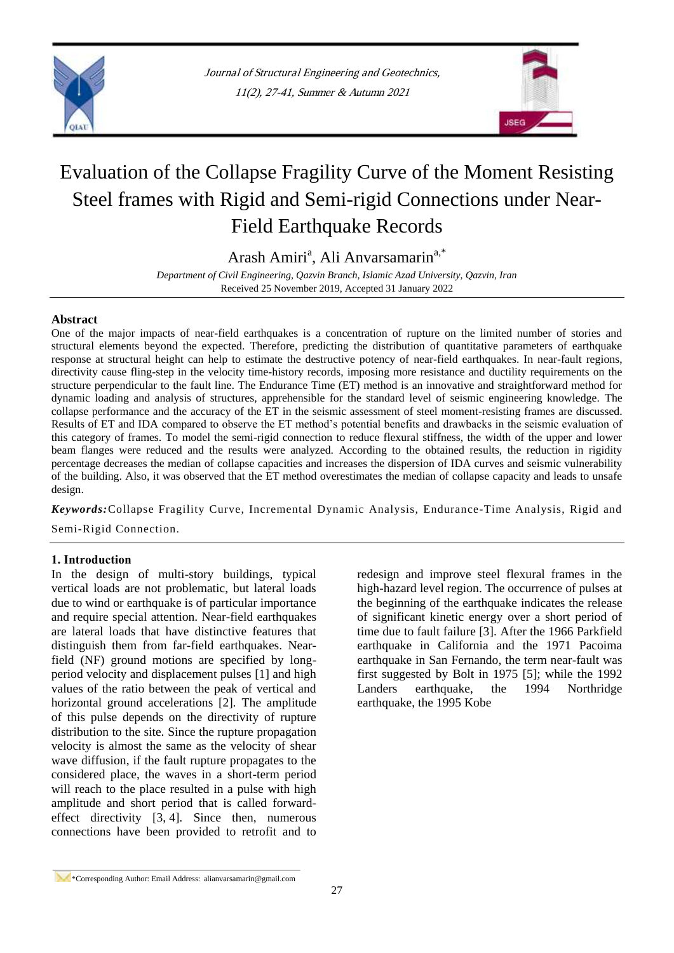



# Evaluation of the Collapse Fragility Curve of the Moment Resisting Steel frames with Rigid and Semi-rigid Connections under Near-Field Earthquake Records

Arash Amiri<sup>a</sup>, [Ali](http://www.civilica.com/modules.php?name=PaperSearch&queryWf=Fayaz&queryWr=Rahimzadeh+Rofooei&simoradv=ADV&period=all&ConfereceRes=1&JournalRes=1) Anvarsamarin<sup>a,\*</sup>

*Department of Civil Engineering, Qazvin Branch, Islamic Azad University, Qazvin, Iran* Received 25 November 2019, Accepted 31 January 2022

## **Abstract**

One of the major impacts of near-field earthquakes is a concentration of rupture on the limited number of stories and structural elements beyond the expected. Therefore, predicting the distribution of quantitative parameters of earthquake response at structural height can help to estimate the destructive potency of near-field earthquakes. In near-fault regions, directivity cause fling-step in the velocity time-history records, imposing more resistance and ductility requirements on the structure perpendicular to the fault line. The Endurance Time (ET) method is an innovative and straightforward method for dynamic loading and analysis of structures, apprehensible for the standard level of seismic engineering knowledge. The collapse performance and the accuracy of the ET in the seismic assessment of steel moment-resisting frames are discussed. Results of ET and IDA compared to observe the ET method"s potential benefits and drawbacks in the seismic evaluation of this category of frames. To model the semi-rigid connection to reduce flexural stiffness, the width of the upper and lower beam flanges were reduced and the results were analyzed. According to the obtained results, the reduction in rigidity percentage decreases the median of collapse capacities and increases the dispersion of IDA curves and seismic vulnerability of the building. Also, it was observed that the ET method overestimates the median of collapse capacity and leads to unsafe design.

*Keywords:*Collapse Fragility Curve, Incremental Dynamic Analysis, Endurance-Time Analysis, Rigid and

Semi-Rigid Connection.

# **1. Introduction**

In the design of multi-story buildings, typical vertical loads are not problematic, but lateral loads due to wind or earthquake is of particular importance and require special attention. Near-field earthquakes are lateral loads that have distinctive features that distinguish them from far-field earthquakes. Nearfield (NF) ground motions are specified by longperiod velocity and displacement pulses [1] and high values of the ratio between the peak of vertical and horizontal ground accelerations [2]. The amplitude of this pulse depends on the directivity of rupture distribution to the site. Since the rupture propagation velocity is almost the same as the velocity of shear wave diffusion, if the fault rupture propagates to the considered place, the waves in a short-term period will reach to the place resulted in a pulse with high amplitude and short period that is called forwardeffect directivity [3, 4]. Since then, numerous connections have been provided to retrofit and to

redesign and improve steel flexural frames in the high-hazard level region. The occurrence of pulses at the beginning of the earthquake indicates the release of significant kinetic energy over a short period of time due to fault failure [3]. After the 1966 Parkfield earthquake in California and the 1971 Pacoima earthquake in San Fernando, the term near-fault was first suggested by Bolt in 1975 [5]; while the 1992 Landers earthquake, the 1994 Northridge earthquake, the 1995 Kobe

<sup>\*</sup>Corresponding Author: Email Address: alianvarsamarin@gmail.com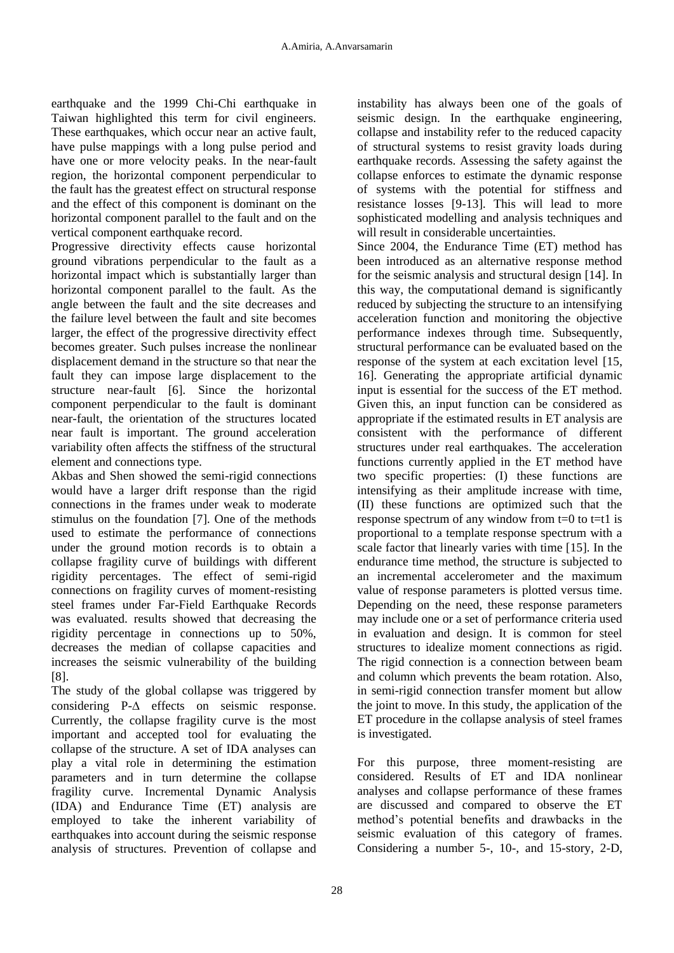earthquake and the 1999 Chi-Chi earthquake in Taiwan highlighted this term for civil engineers. These earthquakes, which occur near an active fault. have pulse mappings with a long pulse period and have one or more velocity peaks. In the near-fault region, the horizontal component perpendicular to the fault has the greatest effect on structural response and the effect of this component is dominant on the horizontal component parallel to the fault and on the vertical component earthquake record.

Progressive directivity effects cause horizontal ground vibrations perpendicular to the fault as a horizontal impact which is substantially larger than horizontal component parallel to the fault. As the angle between the fault and the site decreases and the failure level between the fault and site becomes larger, the effect of the progressive directivity effect becomes greater. Such pulses increase the nonlinear displacement demand in the structure so that near the fault they can impose large displacement to the structure near-fault [6]. Since the horizontal component perpendicular to the fault is dominant near-fault, the orientation of the structures located near fault is important. The ground acceleration variability often affects the stiffness of the structural element and connections type.

Akbas and Shen showed the semi-rigid connections would have a larger drift response than the rigid connections in the frames under weak to moderate stimulus on the foundation [7]. One of the methods used to estimate the performance of connections under the ground motion records is to obtain a collapse fragility curve of buildings with different rigidity percentages. The effect of semi-rigid connections on fragility curves of moment-resisting steel frames under Far-Field Earthquake Records was evaluated. results showed that decreasing the rigidity percentage in connections up to 50%, decreases the median of collapse capacities and increases the seismic vulnerability of the building [8].

The study of the global collapse was triggered by considering  $P-\Delta$  effects on seismic response. Currently, the collapse fragility curve is the most important and accepted tool for evaluating the collapse of the structure. A set of IDA analyses can play a vital role in determining the estimation parameters and in turn determine the collapse fragility curve. Incremental Dynamic Analysis (IDA) and Endurance Time (ET) analysis are employed to take the inherent variability of earthquakes into account during the seismic response analysis of structures. Prevention of collapse and

instability has always been one of the goals of seismic design. In the earthquake engineering, collapse and instability refer to the reduced capacity of structural systems to resist gravity loads during earthquake records. Assessing the safety against the collapse enforces to estimate the dynamic response of systems with the potential for stiffness and resistance losses [9-13]. This will lead to more sophisticated modelling and analysis techniques and will result in considerable uncertainties.

Since 2004, the Endurance Time (ET) method has been introduced as an alternative response method for the seismic analysis and structural design [14]. In this way, the computational demand is significantly reduced by subjecting the structure to an intensifying acceleration function and monitoring the objective performance indexes through time. Subsequently, structural performance can be evaluated based on the response of the system at each excitation level [15, 16]. Generating the appropriate artificial dynamic input is essential for the success of the ET method. Given this, an input function can be considered as appropriate if the estimated results in ET analysis are consistent with the performance of different structures under real earthquakes. The acceleration functions currently applied in the ET method have two specific properties: (I) these functions are intensifying as their amplitude increase with time, (II) these functions are optimized such that the response spectrum of any window from  $t=0$  to  $t=t1$  is proportional to a template response spectrum with a scale factor that linearly varies with time [15]. In the endurance time method, the structure is subjected to an incremental accelerometer and the maximum value of response parameters is plotted versus time. Depending on the need, these response parameters may include one or a set of performance criteria used in evaluation and design. It is common for steel structures to idealize moment connections as rigid. The rigid connection is a connection between beam and column which prevents the beam rotation. Also, in semi-rigid connection transfer moment but allow the joint to move. In this study, the application of the ET procedure in the collapse analysis of steel frames is investigated.

For this purpose, three moment-resisting are considered. Results of ET and IDA nonlinear analyses and collapse performance of these frames are discussed and compared to observe the ET method"s potential benefits and drawbacks in the seismic evaluation of this category of frames. Considering a number 5-, 10-, and 15-story, 2-D,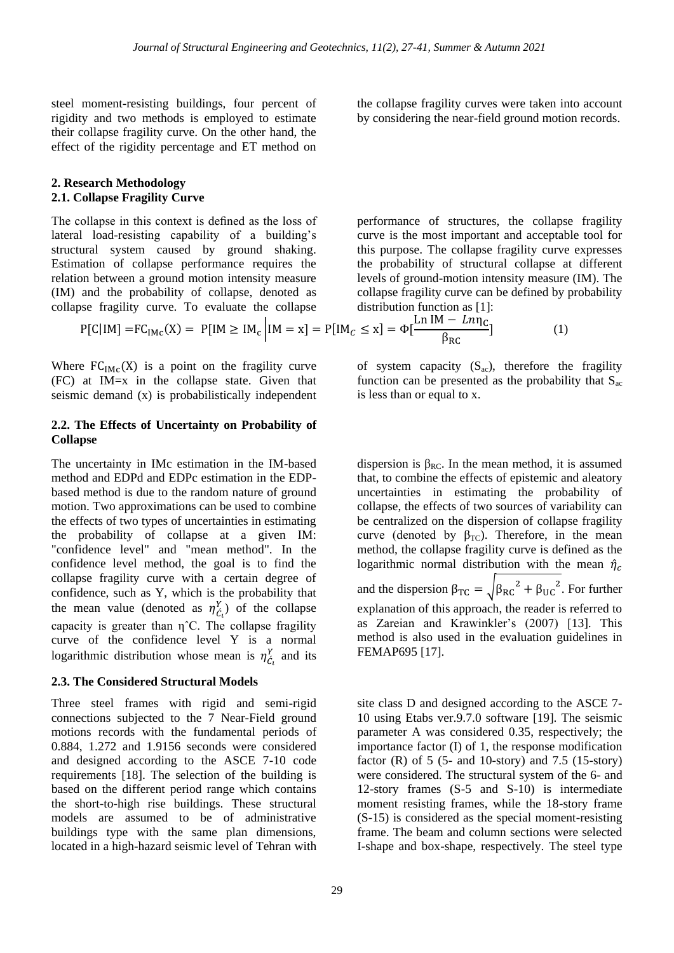steel moment-resisting buildings, four percent of rigidity and two methods is employed to estimate their collapse fragility curve. On the other hand, the effect of the rigidity percentage and ET method on

#### **2. Research Methodology 2.1. Collapse Fragility Curve**

The collapse in this context is defined as the loss of lateral load-resisting capability of a building's structural system caused by ground shaking. Estimation of collapse performance requires the relation between a ground motion intensity measure (IM) and the probability of collapse, denoted as collapse fragility curve. To evaluate the collapse

the collapse fragility curves were taken into account by considering the near-field ground motion records.

performance of structures, the collapse fragility curve is the most important and acceptable tool for this purpose. The collapse fragility curve expresses the probability of structural collapse at different levels of ground-motion intensity measure (IM). The collapse fragility curve can be defined by probability distribution function as [1]:

$$
P[C|IM] = FCIMc(X) = P[IM \ge IMc | IM = x] = P[IMc \le x] = \Phi[\frac{Ln IM - Ln\eta_{C}}{\beta_{RC}}]
$$
 (1)

Where  $FC<sub>IMC</sub>(X)$  is a point on the fragility curve (FC) at IM=x in the collapse state. Given that seismic demand (x) is probabilistically independent

## **2.2. The Effects of Uncertainty on Probability of Collapse**

The uncertainty in IMc estimation in the IM-based method and EDPd and EDPc estimation in the EDPbased method is due to the random nature of ground motion. Two approximations can be used to combine the effects of two types of uncertainties in estimating the probability of collapse at a given IM: "confidence level" and "mean method". In the confidence level method, the goal is to find the collapse fragility curve with a certain degree of confidence, such as Y, which is the probability that the mean value (denoted as  $\eta_{\zeta}^{Y}$ ) of the collapse capacity is greater than  $\eta$ <sup> $\circ$ </sup>C. The collapse fragility curve of the confidence level Y is a normal logarithmic distribution whose mean is  $\eta_{\zeta_i}^Y$  and its

## **2.3. The Considered Structural Models**

Three steel frames with rigid and semi-rigid connections subjected to the 7 Near-Field ground motions records with the fundamental periods of 0.884, 1.272 and 1.9156 seconds were considered and designed according to the ASCE 7-10 code requirements [18]. The selection of the building is based on the different period range which contains the short-to-high rise buildings. These structural models are assumed to be of administrative buildings type with the same plan dimensions, located in a high-hazard seismic level of Tehran with

of system capacity  $(S_{ac})$ , therefore the fragility function can be presented as the probability that  $S_{ac}$ is less than or equal to x.

dispersion is  $\beta_{RC}$ . In the mean method, it is assumed that, to combine the effects of epistemic and aleatory uncertainties in estimating the probability of collapse, the effects of two sources of variability can be centralized on the dispersion of collapse fragility curve (denoted by  $\beta_{TC}$ ). Therefore, in the mean method, the collapse fragility curve is defined as the logarithmic normal distribution with the mean  $\hat{\eta}_c$ and the dispersion  $\beta_{TC} = \sqrt{\beta_{RC}^2 + \beta_{UC}^2}$ . For further explanation of this approach, the reader is referred to as Zareian and Krawinkler"s (2007) [13]. This method is also used in the evaluation guidelines in FEMAP695 [17].

site class D and designed according to the ASCE 7- 10 using Etabs ver.9.7.0 software [19]. The seismic parameter A was considered 0.35, respectively; the importance factor (I) of 1, the response modification factor  $(R)$  of 5 (5- and 10-story) and 7.5 (15-story) were considered. The structural system of the 6- and 12-story frames (S-5 and S-10) is intermediate moment resisting frames, while the 18-story frame (S-15) is considered as the special moment-resisting frame. The beam and column sections were selected I-shape and box-shape, respectively. The steel type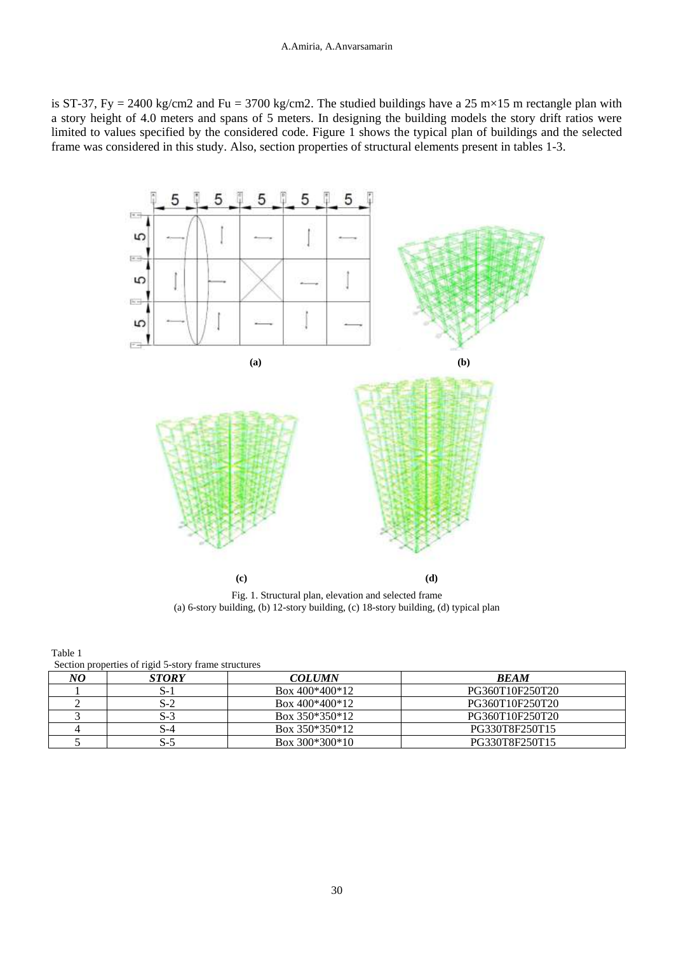is ST-37, Fy = 2400 kg/cm2 and Fu = 3700 kg/cm2. The studied buildings have a 25 m×15 m rectangle plan with a story height of 4.0 meters and spans of 5 meters. In designing the building models the story drift ratios were limited to values specified by the considered code. Figure 1 shows the typical plan of buildings and the selected frame was considered in this study. Also, section properties of structural elements present in tables 1-3.



Fig. 1. Structural plan, elevation and selected frame (a) 6-story building, (b) 12-story building, (c) 18-story building, (d) typical plan

Table 1 Section properties of rigid 5-story frame structures

| NО | <b>STORY</b> | <b>COLUMN</b>    | <b>BEAM</b>     |  |  |  |
|----|--------------|------------------|-----------------|--|--|--|
|    | . J - J      | Box 400*400*12   | PG360T10F250T20 |  |  |  |
|    | 3-2          | Box $400*400*12$ | PG360T10F250T20 |  |  |  |
|    | O-2          | Box 350*350*12   | PG360T10F250T20 |  |  |  |
|    | . . - 4      | Box 350*350*12   | PG330T8F250T15  |  |  |  |
|    | O-           | Box $300*300*10$ | PG330T8F250T15  |  |  |  |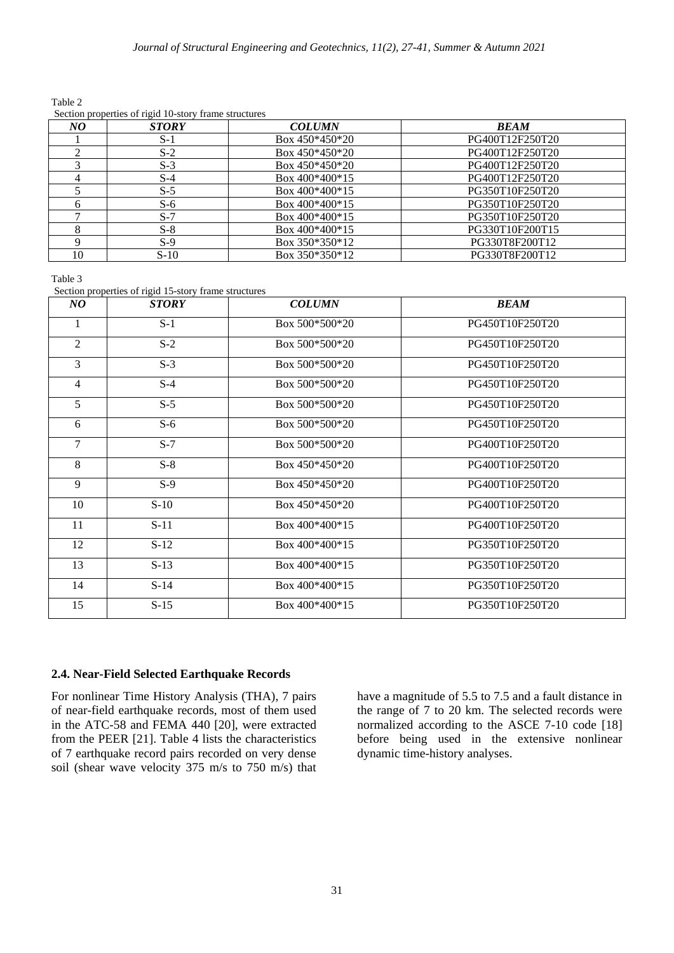|    | $\frac{1}{2}$ because properties of right 10-story frame structures |                  |                 |  |  |  |  |
|----|---------------------------------------------------------------------|------------------|-----------------|--|--|--|--|
| NO | <b>STORY</b>                                                        | <b>COLUMN</b>    | <b>BEAM</b>     |  |  |  |  |
|    | $S-1$                                                               | Box $450*450*20$ | PG400T12F250T20 |  |  |  |  |
|    | $S-2$                                                               | Box $450*450*20$ | PG400T12F250T20 |  |  |  |  |
|    | $S-3$                                                               | Box $450*450*20$ | PG400T12F250T20 |  |  |  |  |
|    | $S-4$                                                               | Box $400*400*15$ | PG400T12F250T20 |  |  |  |  |
|    | $S-5$                                                               | Box $400*400*15$ | PG350T10F250T20 |  |  |  |  |
|    | $S-6$                                                               | Box $400*400*15$ | PG350T10F250T20 |  |  |  |  |
|    | $S-7$                                                               | Box $400*400*15$ | PG350T10F250T20 |  |  |  |  |
|    | $S-8$                                                               | Box $400*400*15$ | PG330T10F200T15 |  |  |  |  |
|    | $S-9$                                                               | Box $350*350*12$ | PG330T8F200T12  |  |  |  |  |
| 10 | $S-10$                                                              | Box $350*350*12$ | PG330T8F200T12  |  |  |  |  |

Table 2  $\alpha$  Section properties of rigid 10-story frame structures

Table 3

Section properties of rigid 15-story frame structures

| $N\mathbf{O}$  | <b>STORY</b> | <b>COLUMN</b>    | <b>BEAM</b>     |
|----------------|--------------|------------------|-----------------|
|                | $S-1$        | Box $500*500*20$ | PG450T10F250T20 |
| $\overline{2}$ | $S-2$        | Box $500*500*20$ | PG450T10F250T20 |
| $\overline{3}$ | $S-3$        | Box 500*500*20   | PG450T10F250T20 |
| $\overline{4}$ | $S-4$        | Box $500*500*20$ | PG450T10F250T20 |
| 5              | $S-5$        | Box $500*500*20$ | PG450T10F250T20 |
| 6              | $S-6$        | Box 500*500*20   | PG450T10F250T20 |
| $\tau$         | $S-7$        | Box 500*500*20   | PG400T10F250T20 |
| 8              | $S-8$        | Box $450*450*20$ | PG400T10F250T20 |
| 9              | $S-9$        | Box 450*450*20   | PG400T10F250T20 |
| 10             | $S-10$       | Box $450*450*20$ | PG400T10F250T20 |
| 11             | $S-11$       | Box 400*400*15   | PG400T10F250T20 |
| 12             | $S-12$       | Box $400*400*15$ | PG350T10F250T20 |
| 13             | $S-13$       | Box $400*400*15$ | PG350T10F250T20 |
| 14             | $S-14$       | Box $400*400*15$ | PG350T10F250T20 |
| 15             | $S-15$       | Box $400*400*15$ | PG350T10F250T20 |

# **2.4. Near-Field Selected Earthquake Records**

For nonlinear Time History Analysis (THA), 7 pairs of near-field earthquake records, most of them used in the ATC-58 and FEMA 440 [20], were extracted from the PEER [21]. Table 4 lists the characteristics of 7 earthquake record pairs recorded on very dense soil (shear wave velocity 375 m/s to 750 m/s) that have a magnitude of 5.5 to 7.5 and a fault distance in the range of 7 to 20 km. The selected records were normalized according to the ASCE 7-10 code [18] before being used in the extensive nonlinear dynamic time-history analyses.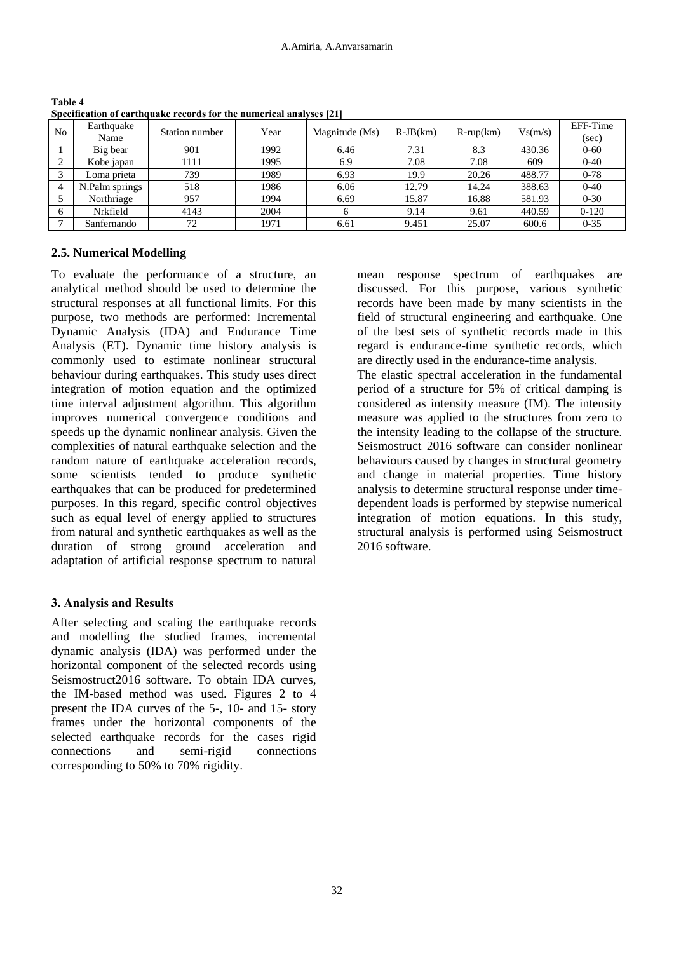| N <sub>o</sub> | Earthquake<br>Name | Station number | Year | Magnitude (Ms) | $R-JB(km)$ | $R$ -rup $(km)$ | Vs(m/s) | EFF-Time<br>(sec) |
|----------------|--------------------|----------------|------|----------------|------------|-----------------|---------|-------------------|
|                | Big bear           | 901            | 1992 | 6.46           | 7.31       | 8.3             | 430.36  | $0 - 60$          |
| 2              | Kobe japan         | 1111           | 1995 | 6.9            | 7.08       | 7.08            | 609     | $0 - 40$          |
|                | Loma prieta        | 739            | 1989 | 6.93           | 19.9       | 20.26           | 488.77  | $0 - 78$          |
| $\overline{4}$ | N.Palm springs     | 518            | 1986 | 6.06           | 12.79      | 14.24           | 388.63  | $0 - 40$          |
|                | Northriage         | 957            | 1994 | 6.69           | 15.87      | 16.88           | 581.93  | $0 - 30$          |
| 6              | Nrkfield           | 4143           | 2004 | 6              | 9.14       | 9.61            | 440.59  | $0-120$           |
|                | Sanfernando        | 72             | 1971 | 6.61           | 9.451      | 25.07           | 600.6   | $0 - 35$          |

**Table 4 Specification of earthquake records for the numerical analyses [21]**

# **2.5. Numerical Modelling**

To evaluate the performance of a structure, an analytical method should be used to determine the structural responses at all functional limits. For this purpose, two methods are performed: Incremental Dynamic Analysis (IDA) and Endurance Time Analysis (ET). Dynamic time history analysis is commonly used to estimate nonlinear structural behaviour during earthquakes. This study uses direct integration of motion equation and the optimized time interval adjustment algorithm. This algorithm improves numerical convergence conditions and speeds up the dynamic nonlinear analysis. Given the complexities of natural earthquake selection and the random nature of earthquake acceleration records, some scientists tended to produce synthetic earthquakes that can be produced for predetermined purposes. In this regard, specific control objectives such as equal level of energy applied to structures from natural and synthetic earthquakes as well as the duration of strong ground acceleration and adaptation of artificial response spectrum to natural

# **3. Analysis and Results**

After selecting and scaling the earthquake records and modelling the studied frames, incremental dynamic analysis (IDA) was performed under the horizontal component of the selected records using Seismostruct2016 software. To obtain IDA curves, the IM-based method was used. Figures 2 to 4 present the IDA curves of the 5-, 10- and 15- story frames under the horizontal components of the selected earthquake records for the cases rigid connections and semi-rigid connections corresponding to 50% to 70% rigidity.

mean response spectrum of earthquakes are discussed. For this purpose, various synthetic records have been made by many scientists in the field of structural engineering and earthquake. One of the best sets of synthetic records made in this regard is endurance-time synthetic records, which are directly used in the endurance-time analysis.

The elastic spectral acceleration in the fundamental period of a structure for 5% of critical damping is considered as intensity measure (IM). The intensity measure was applied to the structures from zero to the intensity leading to the collapse of the structure. Seismostruct 2016 software can consider nonlinear behaviours caused by changes in structural geometry and change in material properties. Time history analysis to determine structural response under timedependent loads is performed by stepwise numerical integration of motion equations. In this study, structural analysis is performed using Seismostruct 2016 software.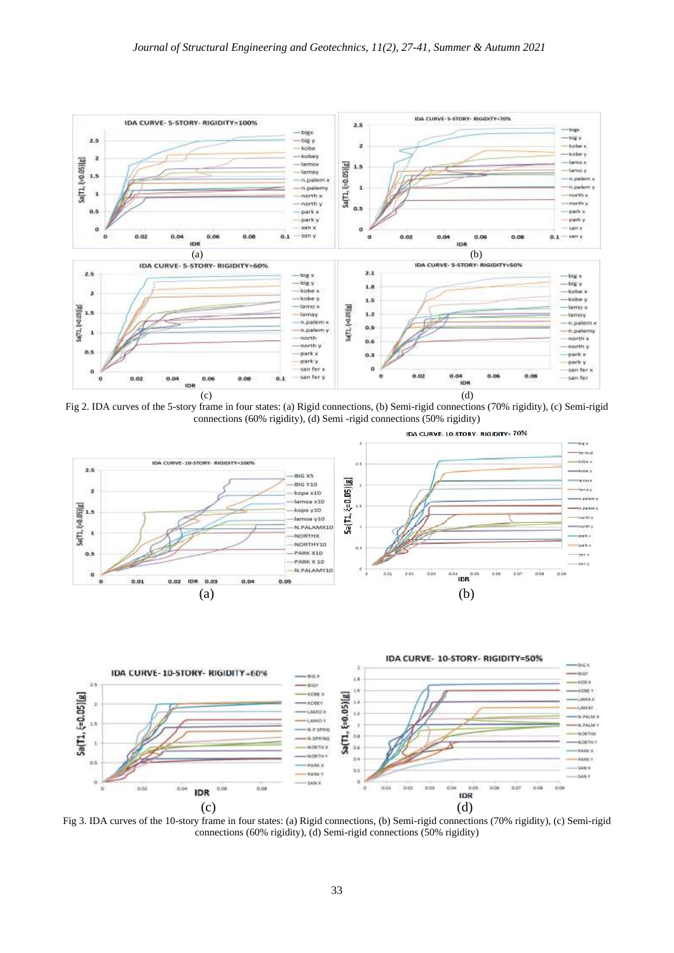

Fig 2. IDA curves of the 5-story frame in four states: (a) Rigid connections, (b) Semi-rigid connections (70% rigidity), (c) Semi-rigid connections (60% rigidity), (d) Semi -rigid connections (50% rigidity)





Fig 3. IDA curves of the 10-story frame in four states: (a) Rigid connections, (b) Semi-rigid connections (70% rigidity), (c) Semi-rigid connections (60% rigidity), (d) Semi-rigid connections (50% rigidity)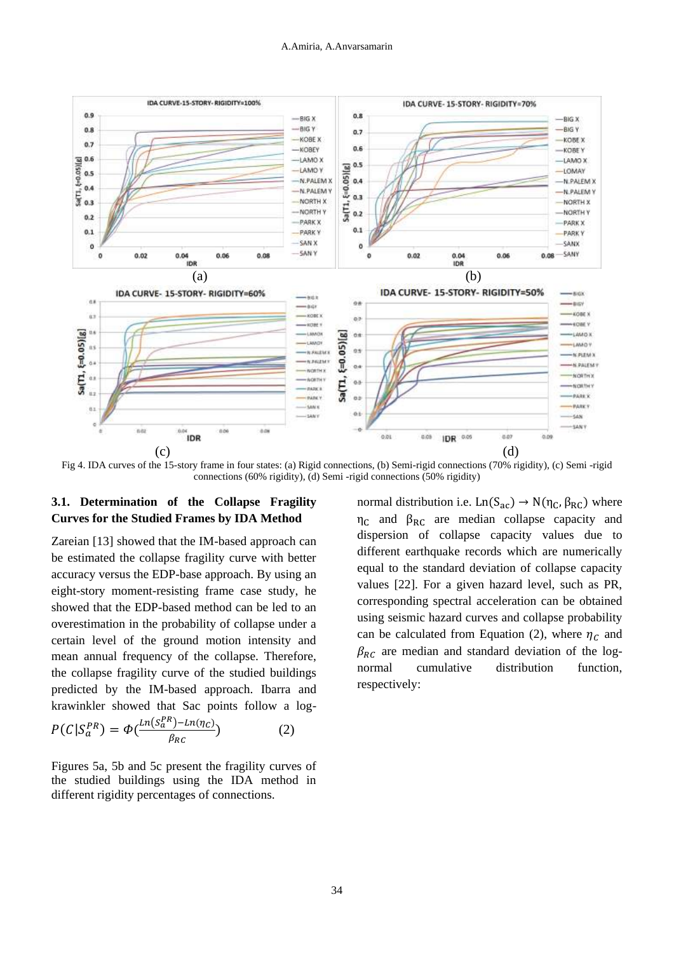

Fig 4. IDA curves of the 15-story frame in four states: (a) Rigid connections, (b) Semi-rigid connections (70% rigidity), (c) Semi -rigid connections (60% rigidity), (d) Semi -rigid connections (50% rigidity)

# **3.1. Determination of the Collapse Fragility Curves for the Studied Frames by IDA Method**

Zareian [13] showed that the IM-based approach can be estimated the collapse fragility curve with better accuracy versus the EDP-base approach. By using an eight-story moment-resisting frame case study, he showed that the EDP-based method can be led to an overestimation in the probability of collapse under a certain level of the ground motion intensity and mean annual frequency of the collapse. Therefore, the collapse fragility curve of the studied buildings predicted by the IM-based approach. Ibarra and krawinkler showed that Sac points follow a log- $P(C|S_a^{PR}) = \Phi(\frac{Ln(S_a^{PR})-Ln(\eta_C)}{2})$ β ) (2)

Figures 5a, 5b and 5c present the fragility curves of the studied buildings using the IDA method in different rigidity percentages of connections.

normal distribution i.e.  $Ln(S_{ac}) \rightarrow N(\eta_C, \beta_{RC})$  where  $\eta_c$  and  $\beta_{RC}$  are median collapse capacity and dispersion of collapse capacity values due to different earthquake records which are numerically equal to the standard deviation of collapse capacity values [22]. For a given hazard level, such as PR, corresponding spectral acceleration can be obtained using seismic hazard curves and collapse probability can be calculated from Equation (2), where  $\eta_c$  and  $\beta_{BC}$  are median and standard deviation of the lognormal cumulative distribution function, respectively: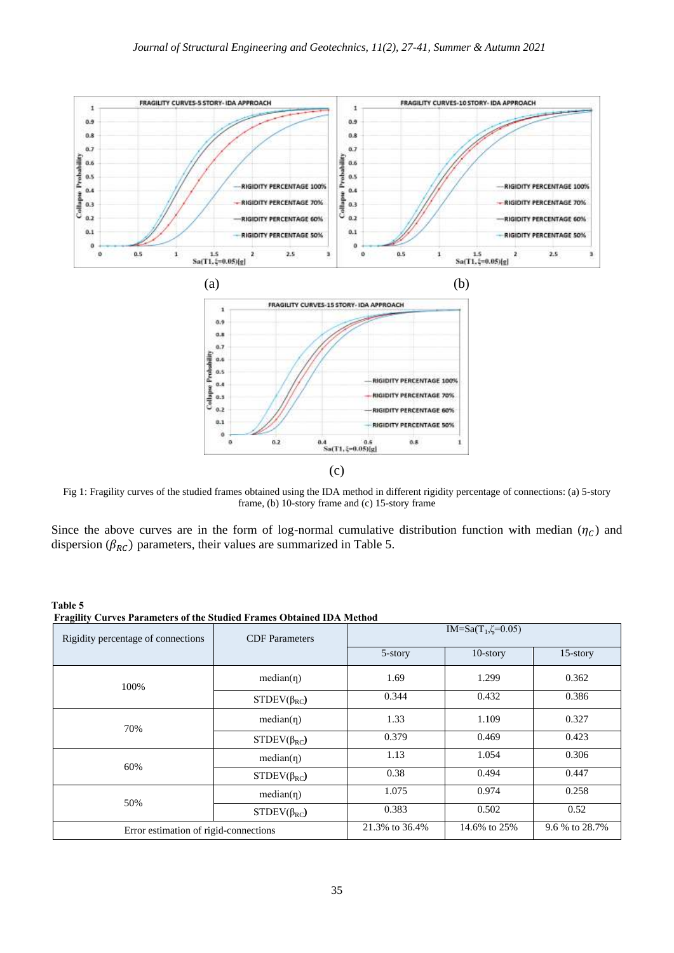

Fig 1: Fragility curves of the studied frames obtained using the IDA method in different rigidity percentage of connections: (a) 5-story frame, (b) 10-story frame and (c) 15-story frame

Since the above curves are in the form of log-normal cumulative distribution function with median  $(\eta_c)$  and dispersion ( $\beta_{RC}$ ) parameters, their values are summarized in Table 5.

| Table 5<br><b>Fragility Curves Parameters of the Studied Frames Obtained IDA Method</b> |                       |                                       |              |                |  |
|-----------------------------------------------------------------------------------------|-----------------------|---------------------------------------|--------------|----------------|--|
| Rigidity percentage of connections                                                      | <b>CDF</b> Parameters | IM=Sa(T <sub>1</sub> , $\zeta$ =0.05) |              |                |  |
|                                                                                         |                       | 5-story                               | $10$ -story  | $15$ -story    |  |
| 100%                                                                                    | $median(\eta)$        | 1.69                                  | 1.299        | 0.362          |  |
|                                                                                         | $STDEV(\beta_{RC})$   | 0.344                                 | 0.432        | 0.386          |  |
| 70%                                                                                     | $median(\eta)$        | 1.33                                  | 1.109        | 0.327          |  |
|                                                                                         | $STDEV(\beta_{RC})$   | 0.379                                 | 0.469        | 0.423          |  |
|                                                                                         | $median(\eta)$        | 1.13                                  | 1.054        | 0.306          |  |
| 60%                                                                                     | $STDEV(\beta_{RC})$   | 0.38                                  | 0.494        | 0.447          |  |
|                                                                                         | $median(\eta)$        | 1.075                                 | 0.974        | 0.258          |  |
| 50%                                                                                     | $STDEV(\beta_{RC})$   | 0.383                                 | 0.502        | 0.52           |  |
| Error estimation of rigid-connections                                                   |                       | 21.3% to 36.4%                        | 14.6% to 25% | 9.6 % to 28.7% |  |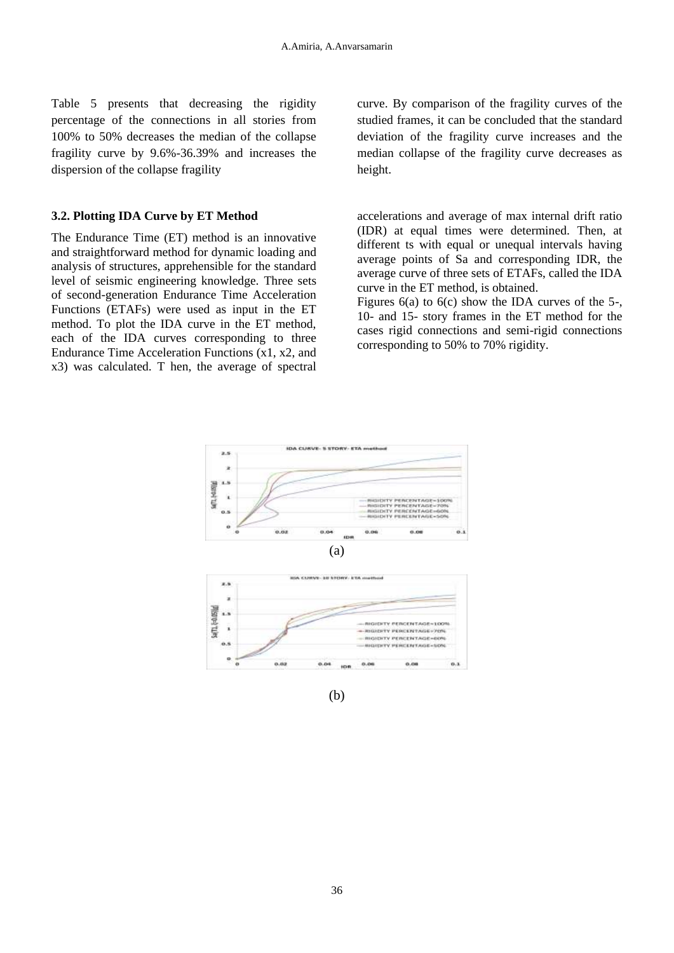Table 5 presents that decreasing the rigidity percentage of the connections in all stories from 100% to 50% decreases the median of the collapse fragility curve by 9.6%-36.39% and increases the dispersion of the collapse fragility

# **3.2. Plotting IDA Curve by ET Method**

The Endurance Time (ET) method is an innovative and straightforward method for dynamic loading and analysis of structures, apprehensible for the standard level of seismic engineering knowledge. Three sets of second-generation Endurance Time Acceleration Functions (ETAFs) were used as input in the ET method. To plot the IDA curve in the ET method, each of the IDA curves corresponding to three Endurance Time Acceleration Functions (x1, x2, and x3) was calculated. T hen, the average of spectral

curve. By comparison of the fragility curves of the studied frames, it can be concluded that the standard deviation of the fragility curve increases and the median collapse of the fragility curve decreases as height.

accelerations and average of max internal drift ratio (IDR) at equal times were determined. Then, at different ts with equal or unequal intervals having average points of Sa and corresponding IDR, the average curve of three sets of ETAFs, called the IDA curve in the ET method, is obtained.

Figures 6(a) to 6(c) show the IDA curves of the 5-, 10- and 15- story frames in the ET method for the cases rigid connections and semi-rigid connections corresponding to 50% to 70% rigidity.

 $0.3$ 



(b)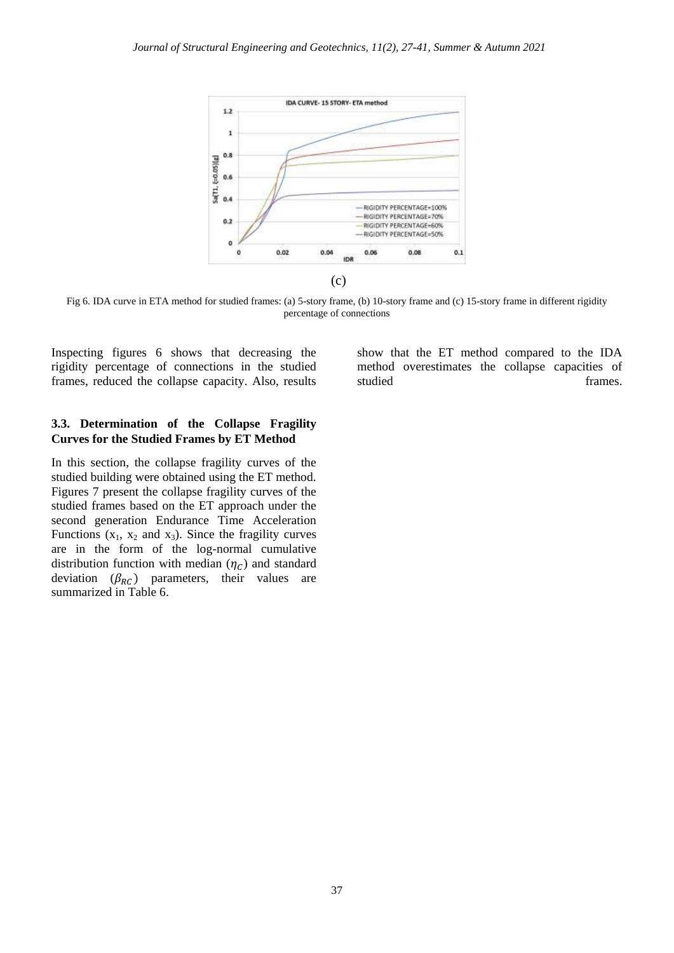

Fig 6. IDA curve in ETA method for studied frames: (a) 5-story frame, (b) 10-story frame and (c) 15-story frame in different rigidity percentage of connections

Inspecting figures 6 shows that decreasing the rigidity percentage of connections in the studied frames, reduced the collapse capacity. Also, results

## **3.3. Determination of the Collapse Fragility Curves for the Studied Frames by ET Method**

In this section, the collapse fragility curves of the studied building were obtained using the ET method. Figures 7 present the collapse fragility curves of the studied frames based on the ET approach under the second generation Endurance Time Acceleration Functions  $(x_1, x_2 \text{ and } x_3)$ . Since the fragility curves are in the form of the log-normal cumulative distribution function with median  $(\eta_C)$  and standard deviation  $(\beta_{RC})$  parameters, their values are summarized in Table 6.

show that the ET method compared to the IDA method overestimates the collapse capacities of studied frames.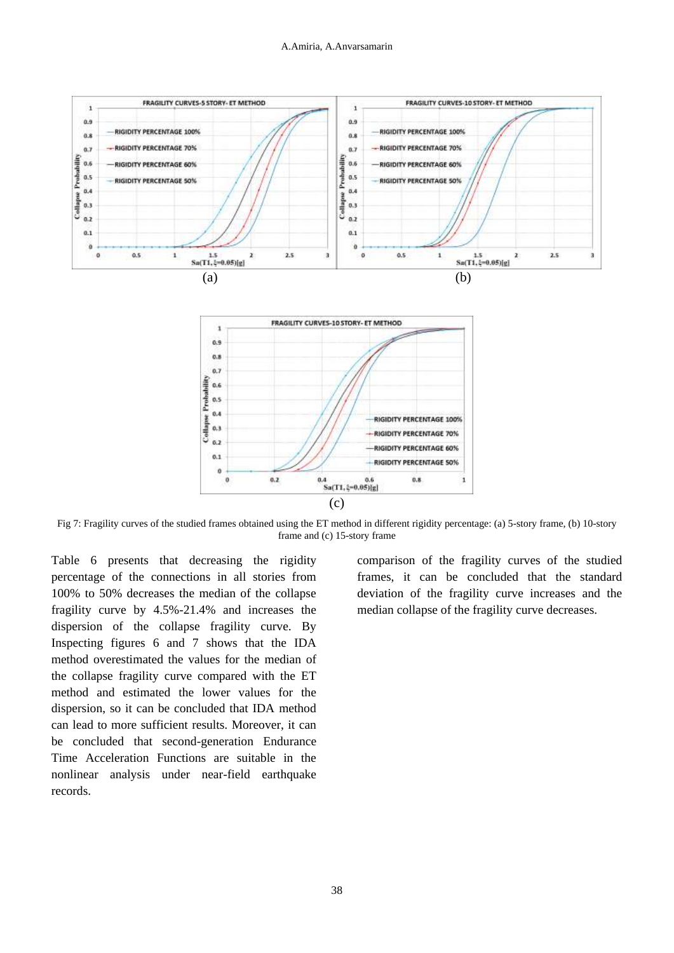

Fig 7: Fragility curves of the studied frames obtained using the ET method in different rigidity percentage: (a) 5-story frame, (b) 10-story frame and (c) 15-story frame

Table 6 presents that decreasing the rigidity percentage of the connections in all stories from 100% to 50% decreases the median of the collapse fragility curve by 4.5%-21.4% and increases the dispersion of the collapse fragility curve. By Inspecting figures 6 and 7 shows that the IDA method overestimated the values for the median of the collapse fragility curve compared with the ET method and estimated the lower values for the dispersion, so it can be concluded that IDA method can lead to more sufficient results. Moreover, it can be concluded that second-generation Endurance Time Acceleration Functions are suitable in the nonlinear analysis under near-field earthquake records.

comparison of the fragility curves of the studied frames, it can be concluded that the standard deviation of the fragility curve increases and the median collapse of the fragility curve decreases.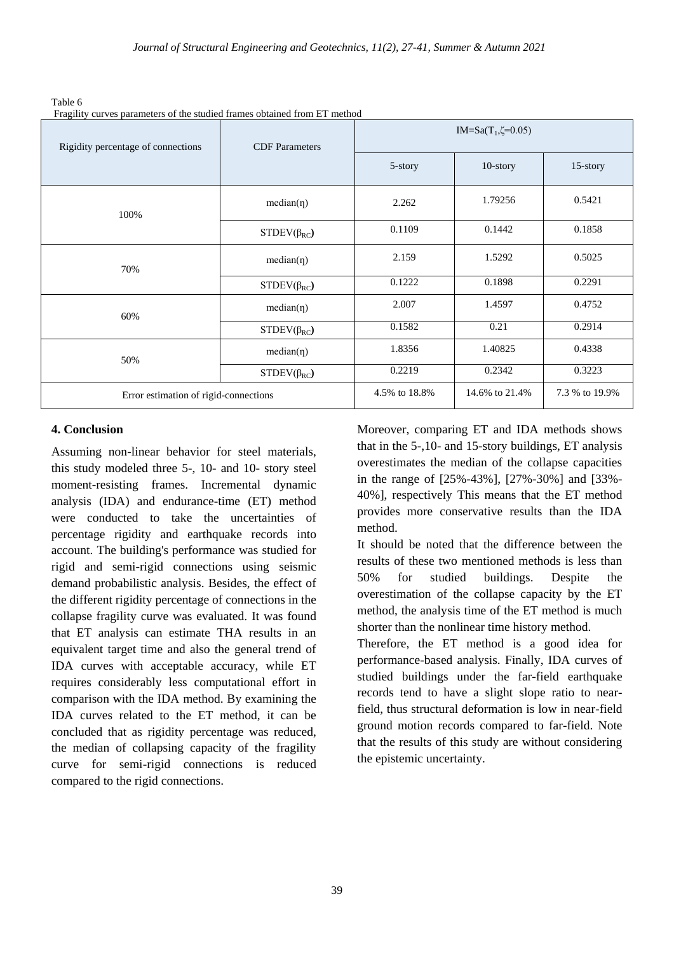| Table 6                                                                   |
|---------------------------------------------------------------------------|
| Fragility curves parameters of the studied frames obtained from ET method |

| Rigidity percentage of connections    | Traginty curves parameters of the studied frames obtained from ET method<br><b>CDF</b> Parameters | IM=Sa(T <sub>1</sub> , $\zeta$ =0.05) |                |                |  |
|---------------------------------------|---------------------------------------------------------------------------------------------------|---------------------------------------|----------------|----------------|--|
|                                       |                                                                                                   | 5-story                               | 10-story       | 15-story       |  |
| 100%                                  | $median(\eta)$                                                                                    | 2.262                                 | 1.79256        | 0.5421         |  |
|                                       | $STDEV(\beta_{RC})$                                                                               | 0.1109                                | 0.1442         | 0.1858         |  |
| 70%                                   | $median(\eta)$                                                                                    | 2.159                                 | 1.5292         | 0.5025         |  |
|                                       | $STDEV(\beta_{RC})$                                                                               | 0.1222                                | 0.1898         | 0.2291         |  |
| 60%                                   | $median(\eta)$                                                                                    | 2.007                                 | 1.4597         | 0.4752         |  |
|                                       | $STDEV(\beta_{RC})$                                                                               | 0.1582                                | 0.21           | 0.2914         |  |
| 50%                                   | $median(\eta)$                                                                                    | 1.8356                                | 1.40825        | 0.4338         |  |
|                                       | $STDEV(\beta_{RC})$                                                                               | 0.2219                                | 0.2342         | 0.3223         |  |
| Error estimation of rigid-connections |                                                                                                   | 4.5% to 18.8%                         | 14.6% to 21.4% | 7.3 % to 19.9% |  |

# **4. Conclusion**

Assuming non-linear behavior for steel materials, this study modeled three 5-, 10- and 10- story steel moment-resisting frames. Incremental dynamic analysis (IDA) and endurance-time (ET) method were conducted to take the uncertainties of percentage rigidity and earthquake records into account. The building's performance was studied for rigid and semi-rigid connections using seismic demand probabilistic analysis. Besides, the effect of the different rigidity percentage of connections in the collapse fragility curve was evaluated. It was found that ET analysis can estimate THA results in an equivalent target time and also the general trend of IDA curves with acceptable accuracy, while ET requires considerably less computational effort in comparison with the IDA method. By examining the IDA curves related to the ET method, it can be concluded that as rigidity percentage was reduced, the median of collapsing capacity of the fragility curve for semi-rigid connections is reduced compared to the rigid connections.

Moreover, comparing ET and IDA methods shows that in the 5-,10- and 15-story buildings, ET analysis overestimates the median of the collapse capacities in the range of [25%-43%], [27%-30%] and [33%- 40%], respectively This means that the ET method provides more conservative results than the IDA method.

It should be noted that the difference between the results of these two mentioned methods is less than 50% for studied buildings. Despite the overestimation of the collapse capacity by the ET method, the analysis time of the ET method is much shorter than the nonlinear time history method.

Therefore, the ET method is a good idea for performance-based analysis. Finally, IDA curves of studied buildings under the far-field earthquake records tend to have a slight slope ratio to nearfield, thus structural deformation is low in near-field ground motion records compared to far-field. Note that the results of this study are without considering the epistemic uncertainty.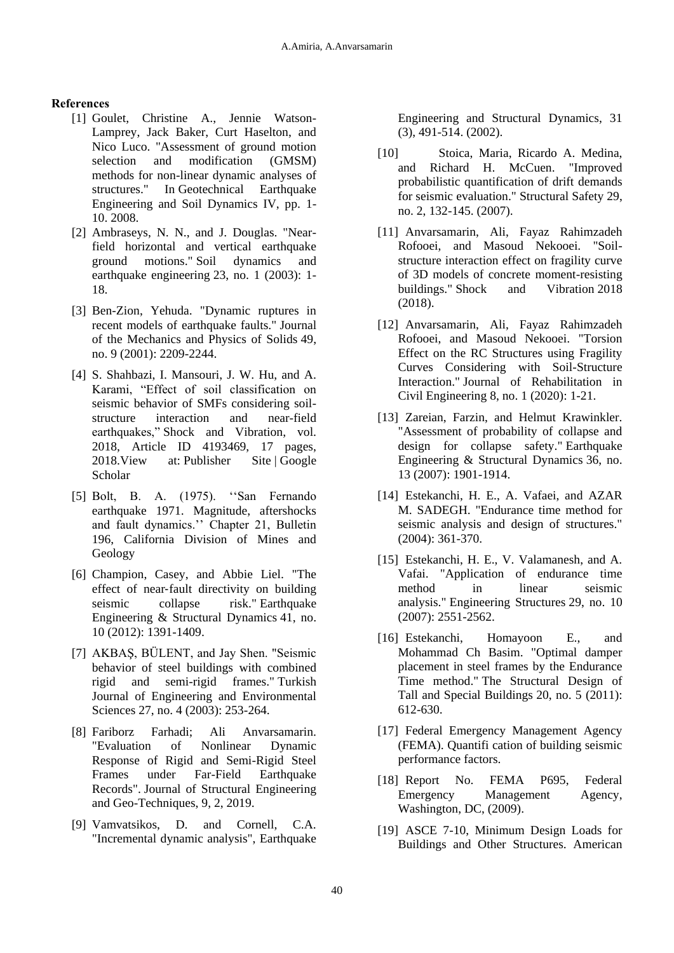# **References**

- [1] Goulet, Christine A., Jennie Watson-Lamprey, Jack Baker, Curt Haselton, and Nico Luco. "Assessment of ground motion selection and modification (GMSM) methods for non-linear dynamic analyses of structures." In Geotechnical Earthquake Engineering and Soil Dynamics IV, pp. 1- 10. 2008.
- [2] Ambraseys, N. N., and J. Douglas. "Nearfield horizontal and vertical earthquake ground motions." Soil dynamics and earthquake engineering 23, no. 1 (2003): 1- 18.
- [3] Ben-Zion, Yehuda. "Dynamic ruptures in recent models of earthquake faults." Journal of the Mechanics and Physics of Solids 49, no. 9 (2001): 2209-2244.
- [4] S. Shahbazi, I. Mansouri, J. W. Hu, and A. Karami, "Effect of soil classification on seismic behavior of SMFs considering soilstructure interaction and near-field earthquakes," Shock and Vibration, vol. 2018, Article ID 4193469, 17 pages, 2018. View at: [Publisher Site](https://doi.org/10.1155/2018/4193469) | Google [Scholar](https://scholar.google.com/scholar_lookup?title=Effect%20of%20soil%20classification%20on%20seismic%20behavior%20of%20SMFs%20considering%20soil-structure%20interaction%20and%20near-field%20earthquakes&authorS__Shahbazi=&author_I__Mansouri=&author_J__W__Hu=&authorA__Karami=&author_%E2%80%9C=&publication_year=2018)
- [5] Bolt, B. A. (1975). "San Fernando earthquake 1971. Magnitude, aftershocks and fault dynamics." Chapter 21, Bulletin 196, California Division of Mines and Geology
- [6] Champion, Casey, and Abbie Liel. "The effect of near‐fault directivity on building seismic collapse risk." Earthquake Engineering & Structural Dynamics 41, no. 10 (2012): 1391-1409.
- [7] AKBAŞ, BÜLENT, and Jay Shen. "Seismic behavior of steel buildings with combined rigid and semi-rigid frames." Turkish Journal of Engineering and Environmental Sciences 27, no. 4 (2003): 253-264.
- [8] Fariborz Farhadi; Ali Anvarsamarin. "Evaluation of Nonlinear Dynamic Response of Rigid and Semi-Rigid Steel Frames under Far-Field Earthquake Records". Journal of Structural Engineering and Geo-Techniques, 9, 2, 2019.
- [9] Vamvatsikos, D. and Cornell, C.A. "Incremental dynamic analysis", Earthquake

Engineering and Structural Dynamics, 31 (3), 491-514. (2002).

- [10] Stoica, Maria, Ricardo A. Medina, and Richard H. McCuen. "Improved probabilistic quantification of drift demands for seismic evaluation." Structural Safety 29, no. 2, 132-145. (2007).
- [11] Anvarsamarin, Ali, Fayaz Rahimzadeh Rofooei, and Masoud Nekooei. "Soilstructure interaction effect on fragility curve of 3D models of concrete moment-resisting buildings." Shock and Vibration 2018 (2018).
- [12] Anvarsamarin, Ali, Fayaz Rahimzadeh Rofooei, and Masoud Nekooei. "Torsion Effect on the RC Structures using Fragility Curves Considering with Soil-Structure Interaction." Journal of Rehabilitation in Civil Engineering 8, no. 1 (2020): 1-21.
- [13] Zareian, Farzin, and Helmut Krawinkler. "Assessment of probability of collapse and design for collapse safety." Earthquake Engineering & Structural Dynamics 36, no. 13 (2007): 1901-1914.
- [14] Estekanchi, H. E., A. Vafaei, and AZAR M. SADEGH. "Endurance time method for seismic analysis and design of structures." (2004): 361-370.
- [15] Estekanchi, H. E., V. Valamanesh, and A. Vafai. "Application of endurance time method in linear seismic analysis." Engineering Structures 29, no. 10 (2007): 2551-2562.
- [16] Estekanchi, Homayoon E., and Mohammad Ch Basim. "Optimal damper placement in steel frames by the Endurance Time method." The Structural Design of Tall and Special Buildings 20, no. 5 (2011): 612-630.
- [17] Federal Emergency Management Agency (FEMA). Quantifi cation of building seismic performance factors.
- [18] Report No. FEMA P695, Federal Emergency Management Agency, Washington, DC, (2009).
- [19] ASCE 7-10, Minimum Design Loads for Buildings and Other Structures. American